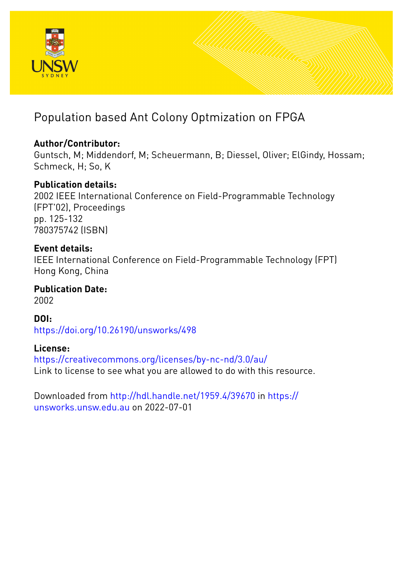

# Population based Ant Colony Optmization on FPGA

# **Author/Contributor:**

Guntsch, M; Middendorf, M; Scheuermann, B; Diessel, Oliver; ElGindy, Hossam; Schmeck, H; So, K

# **Publication details:**

2002 IEEE International Conference on Field-Programmable Technology (FPT'02), Proceedings pp. 125-132 780375742 (ISBN)

# **Event details:**

IEEE International Conference on Field-Programmable Technology (FPT) Hong Kong, China

# **Publication Date:**

2002

**DOI:** [https://doi.org/10.26190/unsworks/498](http://dx.doi.org/https://doi.org/10.26190/unsworks/498)

# **License:**

<https://creativecommons.org/licenses/by-nc-nd/3.0/au/> Link to license to see what you are allowed to do with this resource.

Downloaded from <http://hdl.handle.net/1959.4/39670> in [https://](https://unsworks.unsw.edu.au) [unsworks.unsw.edu.au](https://unsworks.unsw.edu.au) on 2022-07-01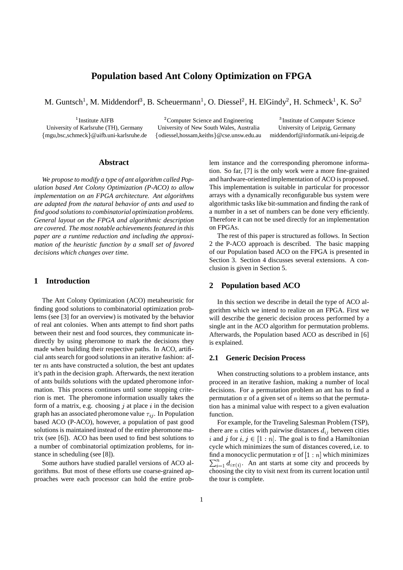# **Population based Ant Colony Optimization on FPGA**

M. Guntsch<sup>1</sup>, M. Middendorf<sup>3</sup>, B. Scheuermann<sup>1</sup>, O. Diessel<sup>2</sup>, H. ElGindy<sup>2</sup>, H. Schmeck<sup>1</sup>, K. So

 $\frac{1}{2}$ Institute AIFB  $\frac{2}{2}$ Compu mgu,bsc,schmeck @aifb.uni-karlsruhe.de

 ${}^{2}$ Computer Science and Engineering  ${}^{3}$ Institute of Computer Science<br>iversity of New South Wales, Australia University of Leipzig, Germany University of Karlsruhe (TH), Germany University of New South Wales, Australia odiessel,hossam,keiths @cse.unsw.edu.au middendorf@informatik.uni-leipzig.de

<sup>3</sup>Institute of Computer Science

# **Abstract**

*We propose to modify a type of ant algorithm called Population based Ant Colony Optimization (P-ACO) to allow implementation on an FPGA architecture. Ant algorithms are adapted from the natural behavior of ants and used to find good solutions to combinatorial optimization problems. General layout on the FPGA and algorithmic description are covered. The most notable achievements featured in this paper are a runtime reduction and including the approximation of the heuristic function by a small set of favored decisions which changes over time.*

## **1 Introduction**

The Ant Colony Optimization (ACO) metaheuristic for finding good solutions to combinatorial optimization problems (see [3] for an overview) is motivated by the behavior of real ant colonies. When ants attempt to find short paths between their nest and food sources, they communicate indirectly by using pheromone to mark the decisions they made when building their respective paths. In ACO, artificial ants search for good solutions in an iterative fashion: after  $m$  ants have constructed a solution, the best ant updates it's path in the decision graph. Afterwards, the next iteration of ants builds solutions with the updated pheromone information. This process continues until some stopping criterion is met. The pheromone information usually takes the form of a matrix, e.g. choosing  $j$  at place  $i$  in the decision graph has an associated pheromone value  $\tau_{ij}$ . In Population based ACO (P-ACO), however, a population of past good solutions is maintained instead of the entire pheromone matrix (see [6]). ACO has been used to find best solutions to a number of combinatorial optimization problems, for instance in scheduling (see [8]).

Some authors have studied parallel versions of ACO algorithms. But most of these efforts use coarse-grained approaches were each processor can hold the entire problem instance and the corresponding pheromone information. So far, [7] is the only work were a more fine-grained and hardware-oriented implementation of ACO is proposed. This implementation is suitable in particular for processor arrays with a dynamically reconfigurable bus system were algorithmic tasks like bit-summation and finding the rank of a number in a set of numbers can be done very efficiently. Therefore it can not be used directly for an implementation on FPGAs.

The rest of this paper is structured as follows. In Section 2 the P-ACO approach is described. The basic mapping of our Population based ACO on the FPGA is presented in Section 3. Section 4 discusses several extensions. A conclusion is given in Section 5.

# **2 Population based ACO**

In this section we describe in detail the type of ACO algorithm which we intend to realize on an FPGA. First we will describe the generic decision process performed by a single ant in the ACO algorithm for permutation problems. Afterwards, the Population based ACO as described in [6] is explained.

#### **2.1 Generic Decision Process**

When constructing solutions to a problem instance, ants proceed in an iterative fashion, making a number of local decisions. For a permutation problem an ant has to find a permutation  $\pi$  of a given set of *n* items so that the permutation has a minimal value with respect to a given evaluation function.

For example, for the Traveling Salesman Problem (TSP), there are *n* cities with pairwise distances  $d_{ij}$  between cities i and j for  $i, j \in [1:n]$ . The goal is to find a Hamiltonian cycle which minimizes the sum of distances covered, i.e. to find a monocyclic permutation  $\pi$  of  $[1:n]$  which minimizes  $\sum_{i=1}^{n} d_{i\pi(i)}$ . An ant starts at some city and proceeds by choosing the city to visit next from its current location until the tour is complete.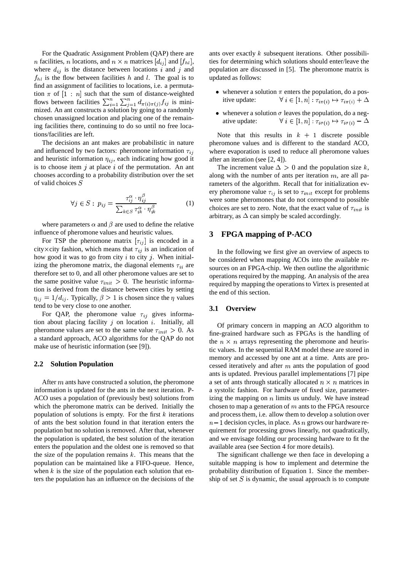For the Quadratic Assignment Problem (QAP) there are *n* facilities, *n* locations, and  $n \times n$  matrices  $[d_{ii}]$  and  $[f_{hl}]$ , where  $d_{ij}$  is the distance between locations i and j and  $f_{hl}$  is the flow between facilities h and l. The goal is to find an assignment of facilities to locations, i.e. a permutation  $\pi$  of  $[1:n]$  such that the sum of distance-weighted flows between facilities  $\sum_{i=1}^n \sum_{i=1}^n d_{\pi(i)\pi(i)} f_{ij}$  is minimized. An ant constructs a solution by going to a randomly chosen unassigned location and placing one of the remaining facilities there, continuing to do so until no free locations/facilities are left.

The decisions an ant makes are probabilistic in nature and influenced by two factors: pheromone information  $\tau_{ij}$ and heuristic information  $\eta_{ij}$ , each indicating how good it is to choose item  $j$  at place  $i$  of the permutation. An ant chooses according to a probability distribution over the set of valid choices

$$
\forall j \in S: \ p_{ij} = \frac{\tau_{ij}^{\alpha} \cdot \eta_{ij}^{\beta}}{\sum_{k \in S} \tau_{ik}^{\alpha} \cdot \eta_{ik}^{\beta}} \tag{1}
$$

where parameters  $\alpha$  and  $\beta$  are used to define the relative influence of pheromone values and heuristic values.

For TSP the pheromone matrix  $[\tau_{ij}]$  is encoded in a city  $\times$  city fashion, which means that  $\tau_{ij}$  is an indication of how good it was to go from city  $i$  to city  $j$ . When initializing the pheromone matrix, the diagonal elements  $\tau_{ii}$  are therefore set to 0, and all other pheromone values are set to the same positive value  $\tau_{init} > 0$ . The heuristic information is derived from the distance between cities by setting  $\eta_{ij} = 1/d_{ij}$ . Typically,  $\beta > 1$  is chosen since the  $\eta$  values tend to be very close to one another.

For QAP, the pheromone value  $\tau_{ij}$  gives information about placing facility  $j$  on location  $i$ . Initially, all pheromone values are set to the same value  $\tau_{init} > 0$ . As a standard approach, ACO algorithms for the QAP do not make use of heuristic information (see [9]).

#### **2.2 Solution Population**

After  $m$  ants have constructed a solution, the pheromone information is updated for the ants in the next iteration. P-ACO uses a population of (previously best) solutions from which the pheromone matrix can be derived. Initially the population of solutions is empty. For the first  $k$  iterations of ants the best solution found in that iteration enters the population but no solution is removed. After that, whenever the population is updated, the best solution of the iteration enters the population and the oldest one is removed so that the size of the population remains  $k$ . This means that the population can be maintained like a FIFO-queue. Hence, when  $k$  is the size of the population each solution that enters the population has an influence on the decisions of the

ants over exactly  $k$  subsequent iterations. Other possibilities for determining which solutions should enter/leave the population are discussed in [5]. The pheromone matrix is updated as follows:

- whenever a solution  $\pi$  enters the population, do a positive update:  $\forall i \in [1, n] : \tau_{i\pi(i)} \mapsto \tau_{i\pi(i)} + \Delta$
- whenever a solution  $\sigma$  leaves the population, do a negative update:  $\forall i \in [1, n] : \tau_{i\sigma(i)} \mapsto \tau_{i\sigma(i)} - \Delta$

Note that this results in  $k + 1$  discrete possible pheromone values and is different to the standard ACO, where evaporation is used to reduce all pheromone values after an iteration (see [2, 4]).

The increment value  $\Delta > 0$  and the population size k, along with the number of ants per iteration  $m$ , are all parameters of the algorithm. Recall that for initialization every pheromone value  $\tau_{ij}$  is set to  $\tau_{init}$  except for problems were some pheromones that do not correspond to possible choices are set to zero. Note, that the exact value of  $\tau_{init}$  is arbitrary, as  $\Delta$  can simply be scaled accordingly.

# **3 FPGA mapping of P-ACO**

In the following we first give an overview of aspects to be considered when mapping ACOs into the available resources on an FPGA-chip. We then outline the algorithmic operations required by the mapping. An analysis of the area required by mapping the operations to Virtex is presented at the end of this section.

#### **3.1 Overview**

Of primary concern in mapping an ACO algorithm to fine-grained hardware such as FPGAs is the handling of the  $n \times n$  arrays representing the pheromone and heuristic values. In the sequential RAM model these are stored in memory and accessed by one ant at a time. Ants are processed iteratively and after  $m$  ants the population of good ants is updated. Previous parallel implementations [7] pipe a set of ants through statically allocated  $n \times n$  matrices in a systolic fashion. For hardware of fixed size, parameterizing the mapping on  $n$  limits us unduly. We have instead chosen to map a generation of  $m$  ants to the FPGA resource and process them, i.e. allow them to develop a solution over  $n-1$  decision cycles, in place. As  $n$  grows our hardware requirement for processing grows linearly, not quadratically, and we envisage folding our processing hardware to fit the available area (see Section 4 for more details).

The significant challenge we then face in developing a suitable mapping is how to implement and determine the probability distribution of Equation 1. Since the membership of set  $S$  is dynamic, the usual approach is to compute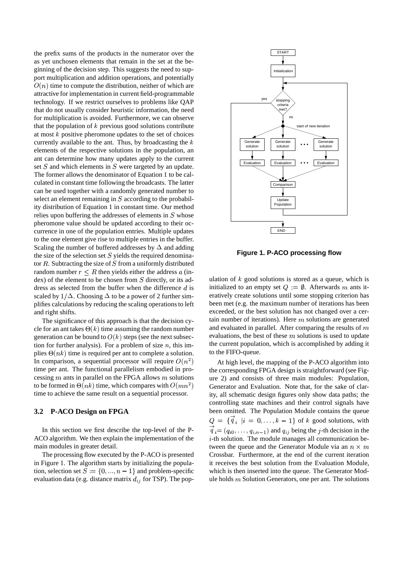the prefix sums of the products in the numerator over the as yet unchosen elements that remain in the set at the beginning of the decision step. This suggests the need to support multiplication and addition operations, and potentially  $O(n)$  time to compute the distribution, neither of which are attractive for implementation in current field-programmable technology. If we restrict ourselves to problems like QAP that do not usually consider heuristic information, the need for multiplication is avoided. Furthermore, we can observe that the population of  $k$  previous good solutions contribute at most  $k$  positive pheromone updates to the set of choices currently available to the ant. Thus, by broadcasting the  $k$ elements of the respective solutions in the population, an ant can determine how many updates apply to the current set  $S$  and which elements in  $S$  were targeted by an update. The former allows the denominator of Equation 1 to be calculated in constant time following the broadcasts. The latter can be used together with a randomly generated number to select an element remaining in  $S$  according to the probability distribution of Equation 1 in constant time. Our method relies upon buffering the addresses of elements in  $S$  whose pheromone value should be updated according to their occurrence in one of the population entries. Multiple updates to the one element give rise to multiple entries in the buffer. Scaling the number of buffered addresses by  $\Delta$  and adding the size of the selection set  $S$  yields the required denominator  $R$ . Subtracting the size of  $S$  from a uniformly distributed random number  $r \leq R$  then yields either the address a (in $dex$ ) of the element to be chosen from  $S$  directly, or its address as selected from the buffer when the difference  $d$  is scaled by  $1/\Delta$ . Choosing  $\Delta$  to be a power of 2 further simplifies calculations by reducing the scaling operationsto left and right shifts.

The significance of this approach is that the decision cycle for an ant takes  $\Theta(k)$  time assuming the random number generation can be bound to  $O(k)$  steps (see the next subsection for further analysis). For a problem of size  $n$ , this implies  $\Theta(nk)$  time is required per ant to complete a solution. In comparison, a sequential processor will require  $O(n^2)$ time per ant. The functional parallelism embodied in processing  $m$  ants in parallel on the FPGA allows  $m$  solutions to be formed in  $\Theta(nk)$  time, which compares with  $O(mn^2)$ time to achieve the same result on a sequential processor.

# **3.2 P-ACO Design on FPGA**

In this section we first describe the top-level of the P-ACO algorithm. We then explain the implementation of the main modules in greater detail.

The processing flow executed by the P-ACO is presented in Figure 1. The algorithm starts by initializing the population, selection set  $S := \{0, ..., n-1\}$  and problem-specific evaluation data (e.g. distance matrix  $d_{ij}$  for TSP). The pop-



**Figure 1. P-ACO processing flow**

ulation of  $k$  good solutions is stored as a queue, which is initialized to an empty set  $Q := \emptyset$ . Afterwards m ants iteratively create solutions until some stopping criterion has been met (e.g. the maximum number of iterations has been exceeded, or the best solution has not changed over a certain number of iterations). Here  $m$  solutions are generated and evaluated in parallel. After comparing the results of  $m$ evaluations, the best of these  $m$  solutions is used to update the current population, which is accomplished by adding it to the FIFO-queue.

At high level, the mapping of the P-ACO algorithm into the corresponding FPGA design is straightforward (see Figure 2) and consists of three main modules: Population, Generator and Evaluation. Note that, for the sake of clarity, all schematic design figures only show data paths; the controlling state machines and their control signals have been omitted. The Population Module contains the queue  $Q = \{q_i | i = 0, \ldots, k-1\}$  of k good solutions, with  $q_i = (q_{i0}, \ldots, q_{i,n-1})$  and  $q_{ij}$  being the j-th decision in the  $i$ -th solution. The module manages all communication between the queue and the Generator Module via an  $n \times m$ Crossbar. Furthermore, at the end of the current iteration it receives the best solution from the Evaluation Module, which is then inserted into the queue. The Generator Module holds  $m$  Solution Generators, one per ant. The solutions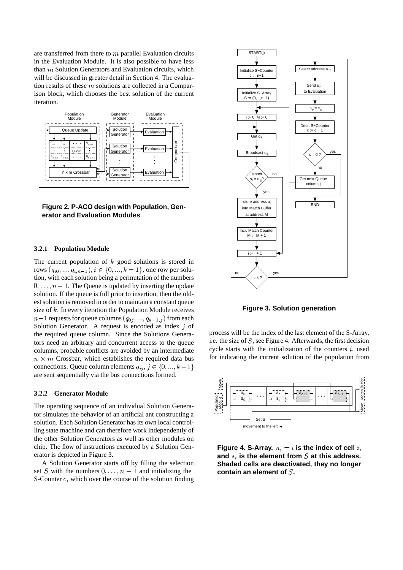are transferred from there to  $m$  parallel Evaluation circuits in the Evaluation Module. It is also possible to have less than  $m$  Solution Generators and Evaluation circuits, which will be discussed in greater detail in Section 4. The evaluation results of these  $m$  solutions are collected in a Comparison block, which chooses the best solution of the current iteration.





#### **3.2.1 Population Module**

The current population of  $k$  good solutions is stored in rows  $(q_{i0},...,q_{i,n-1}), i \in \{0,...,k-1\}$ , one row per solution, with each solution being a permutation of the numbers  $0, \ldots, n-1$ . The Queue is updated by inserting the update solution. If the queue is full prior to insertion, then the oldest solution is removed in order to maintain a constant queue size of  $k$ . In every iteration the Population Module receives  $n-1$  requests for queue columns  $(q_{0j},...,q_{k-1,j})$  from each Solution Generator. A request is encoded as index  $j$  of the required queue column. Since the Solutions Generators need an arbitrary and concurrent access to the queue columns, probable conflicts are avoided by an intermediate  $n \times m$  Crossbar, which establishes the required data bus connections. Queue column elements  $q_{ij}, j \in \{0, ..., k-1\}$ are sent sequentially via the bus connections formed.

#### **3.2.2 Generator Module**

The operating sequence of an individual Solution Generator simulates the behavior of an artificial ant constructing a solution. Each Solution Generator has its own local controlling state machine and can therefore work independently of the other Solution Generators as well as other modules on chip. The flow of instructions executed by a Solution Generator is depicted in Figure 3.

A Solution Generator starts off by filling the selection set S with the numbers  $0, \ldots, n - 1$  and initializing the S-Counter  $c$ , which over the course of the solution finding



**Figure 3. Solution generation**

process will be the index of the last element of the S-Array, i.e. the size of  $S$ , see Figure 4. Afterwards, the first decision cycle starts with the initialization of the counters  $i$ , used for indicating the current solution of the population from



Figure 4. S-Array.  $a_i = i$  is the index of cell  $i$ , and  $s_i$  is the element from  $S$  at this address. **Shaded cells are deactivated, they no longer contain an element of .**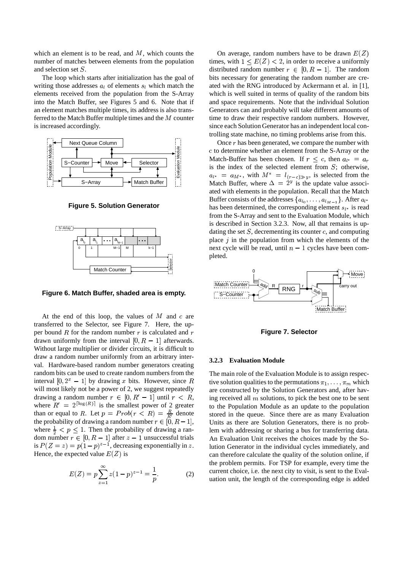which an element is to be read, and  $M$ , which counts the number of matches between elements from the population and selection set  $S$ .

The loop which starts after initialization has the goal of writing those addresses  $a_l$  of elements  $s_l$  which match the elements received from the population from the S-Array into the Match Buffer, see Figures 5 and 6. Note that if an element matches multiple times, its address is also transferred to the Match Buffer multiple times and the  $M$  counter ime to is increased accordingly.



**Figure 5. Solution Generator**



**Figure 6. Match Buffer, shaded area is empty.**

At the end of this loop, the values of  $M$  and  $c$  are transferred to the Selector, see Figure 7. Here, the upper bound  $R$  for the random number  $r$  is calculated and  $r$ drawn uniformly from the interval  $[0, R - 1]$  afterwards. Without large multiplier or divider circuits, it is difficult to draw a random number uniformly from an arbitrary interval. Hardware-based random number generators creating random bits can be used to create random numbers from the interval  $[0, 2<sup>x</sup> - 1]$  by drawing x bits. However, since R ive solution will most likely not be a power of 2, we suggest repeatedly drawing a random number  $r \in [0, R' - 1]$  until  $r < R$ , where  $R' = 2^{\lfloor \log(R) \rfloor}$  is the  $\lceil \log(R) \rceil$  is the smallest power of 2 greater than or equal to R. Let  $p = Prob(r \lt R) = \frac{R}{R'}$  denote the probability of drawing a random number  $r \in [0, R-1]$ , Units where  $\frac{1}{2} < p \leq 1$ . Then the probability of drawing a random number  $r \in [0, R-1]$  after  $z-1$  unsuccessful trials is  $P(Z = z) = p(1 - p)^{z-1}$ , decreasing exponentially in z. Hence, the expected value  $E(Z)$  is

$$
E(Z) = p \sum_{z=1}^{\infty} z(1-p)^{z-1} = \frac{1}{p}.
$$
 (2)

On average, random numbers have to be drawn  $E(Z)$ times, with  $1 \leq E(Z) < 2$ , in order to receive a uniformly distributed random number  $r \in [0, R - 1]$ . The random bits necessary for generating the random number are created with the RNG introduced by Ackermann et al. in [1], which is well suited in terms of quality of the random bits and space requirements. Note that the individual Solution Generators can and probably will take different amounts of time to draw their respective random numbers. However, since each Solution Generator has an independent local controlling state machine, no timing problems arise from this.

Once  $r$  has been generated, we compare the number with  $c$  to determine whether an element from the S-Array or the Match-Buffer has been chosen. If  $r \leq c$ , then  $a_{l^*} = a_r$ is the index of the selected element from  $S$ ; otherwise,  $a_{l^*} = a_{M^*}$ , with  $M^* = l_{(r-c)\gg y}$ , is selected from the Match Buffer, where  $\Delta = 2^y$  is the update value associated with elements in the population. Recall that the Match Buffer consists of the addresses  $\{a_{l_0}, \ldots, a_{l_{M-1}}\}$ . After  $a_{l^*}$ has been determined, the corresponding element  $s_{l^*}$  is read from the S-Array and sent to the Evaluation Module, which is described in Section 3.2.3. Now, all that remains is updating the set  $S$ , decrementing its counter  $c$ , and computing place  $j$  in the population from which the elements of the next cycle will be read, until  $n - 1$  cycles have been completed.



**Figure 7. Selector**

#### **3.2.3 Evaluation Module**

The main role of the Evaluation Module is to assign respective solution qualities to the permutations  $\pi_1, \ldots, \pi_m$  which are constructed by the Solution Generators and, after having received all  $m$  solutions, to pick the best one to be sent to the Population Module as an update to the population stored in the queue. Since there are as many Evaluation Units as there are Solution Generators, there is no problem with addressing or sharing a bus for transferring data. An Evaluation Unit receives the choices made by the Solution Generator in the individual cycles immediately, and can therefore calculate the quality of the solution online, if the problem permits. For TSP for example, every time the current choice, i.e. the next city to visit, is sent to the Evaluation unit, the length of the corresponding edge is added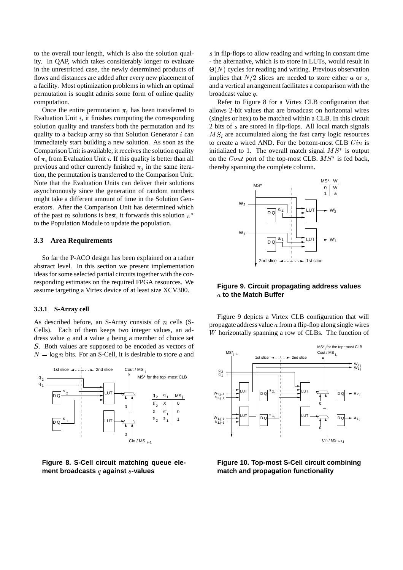to the overall tour length, which is also the solution quality. In QAP, which takes considerably longer to evaluate in the unrestricted case, the newly determined products of flows and distances are added after every new placement of a facility. Most optimization problems in which an optimal permutation is sought admits some form of online quality computation.

Once the entire permutation  $\pi_i$  has been transferred to Evaluation Unit  $i$ , it finishes computing the corresponding solution quality and transfers both the permutation and its quality to a backup array so that Solution Generator  $i$  can immediately start building a new solution. As soon as the Comparison Unit is available, it receives the solution quality of  $\pi_i$  from Evaluation Unit i. If this quality is better than all previous and other currently finished  $\pi_i$  in the same iteration, the permutation is transferred to the Comparison Unit. Note that the Evaluation Units can deliver their solutions asynchronously since the generation of random numbers might take a different amount of time in the Solution Generators. After the Comparison Unit has determined which of the past m solutions is best, it forwards this solution  $\pi^*$ to the Population Module to update the population.

# **3.3 Area Requirements**

So far the P-ACO design has been explained on a rather abstract level. In this section we present implementation ideas for some selected partial circuits together with the corresponding estimates on the required FPGA resources. We assume targeting a Virtex device of at least size XCV300.

#### **3.3.1 S-Array cell**

As described before, an S-Array consists of  $n$  cells (S-Cells). Each of them keeps two integer values, an address value  $a$  and a value  $s$  being a member of choice set . Both values are supposed to be encoded as vectors of  $N = \log n$  bits. For an S-Cell, it is desirable to store a and



**Figure 8. S-Cell circuit matching queue ele**ment broadcasts q against s-values

s in flip-flops to allow reading and writing in constant time - the alternative, which is to store in LUTs, would result in  $\Theta(N)$  cycles for reading and writing. Previous observation implies that  $N/2$  slices are needed to store either a or s, and a vertical arrangement facilitates a comparison with the broadcast value  $q$ .

Refer to Figure 8 for a Virtex CLB configuration that allows 2-bit values that are broadcast on horizontal wires (singles or hex) to be matched within a CLB. In this circuit 2 bits of s are stored in flip-flops. All local match signals  $MS<sub>i</sub>$  are accumulated along the fast carry logic resources to create a wired AND. For the bottom-most CLB  $C$ *in* is initialized to 1. The overall match signal  $MS^*$  is output on the *Cout* port of the top-most CLB.  $MS^*$  is fed back, thereby spanning the complete column.



# **Figure 9. Circuit propagating address values to the Match Buffer**

Figure 9 depicts a Virtex CLB configuration that will propagate address value  $a$  from a flip-flop along single wires W horizontally spanning a row of CLBs. The function of



**Figure 10. Top-most S-Cell circuit combining match and propagation functionality**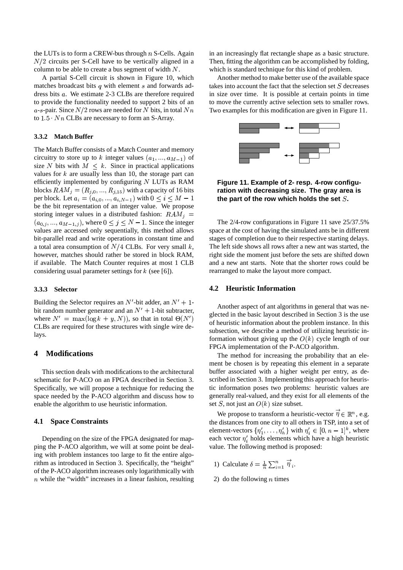the LUTs is to form a CREW-bus through  $n$  S-Cells. Again  $N/2$  circuits per S-Cell have to be vertically aligned in a column to be able to create a bus segment of width  $N$ . which i

A partial S-Cell circuit is shown in Figure 10, which matches broadcast bits  $q$  with element  $s$  and forwards address bits . We estimate 2-3 CLBs are therefore required to provide the functionality needed to support 2 bits of an a-s-pair. Since  $N/2$  rows are needed for N bits, in total  $Nn$  Two examp to  $1.5 \cdot Nn$  CLBs are necessary to form an S-Array.

## **3.3.2 Match Buffer**

The Match Buffer consists of a Match Counter and memory circuitry to store up to k integer values  $(a_1, ..., a_{M-1})$  of size N bits with  $M \leq k$ . Since in practical applications values for  $k$  are usually less than 10, the storage part can efficiently implemented by configuring LUTs as RAM blocks  $RAM_i = (R_{i,0}, ..., R_{i,15})$  with a capacity of 16 bits per block. Let  $a_i = (a_{i,0}, ..., a_{i,N-1})$  with  $0 \le i \le M-1$ be the bit representation of an integer value. We propose storing integer values in a distributed fashion:  $RAM_{j}$  =  $(a_{0,j},..., a_{M-1,j})$ , where  $0 \le j \le N-1$ . Since the integer values are accessed only sequentially, this method allows bit-parallel read and write operations in constant time and a total area consumption of  $N/4$  CLBs. For very small k, however, matches should rather be stored in block RAM, if available. The Match Counter requires at most 1 CLB considering usual parameter settings for  $k$  (see [6]).

#### **3.3.3 Selector**

Building the Selector requires an  $N'$ -bit adder, an  $N' + 1$ bit random number generator and an  $N' + 1$ -bit subtracter, where  $N' = \max(\log k + y, N)$ , so that in total  $\Theta(N')$ CLBs are required for these structures with single wire delays.

# **4 Modifications**

This section deals with modifications to the architectural schematic for P-ACO on an FPGA described in Section 3. Specifically, we will propose a technique for reducing the space needed by the P-ACO algorithm and discuss how to enable the algorithm to use heuristic information.

#### **4.1 Space Constraints**

Depending on the size of the FPGA designated for mapping the P-ACO algorithm, we will at some point be dealing with problem instances too large to fit the entire algorithm as introduced in Section 3. Specifically, the "height" of the P-ACO algorithm increases only logarithmically with  $n$  while the "width" increases in a linear fashion, resulting in an increasingly flat rectangle shape as a basic structure. Then, fitting the algorithm can be accomplished by folding, which is standard technique for this kind of problem.

 $n$  Two examples for this modification are given in Figure 11. Another method to make better use of the available space takes into account the fact that the selection set  $S$  decreases in size over time. It is possible at certain points in time to move the currently active selection sets to smaller rows.



 $\leq M-1$  the part of the row which holds the set  $S$ . **Figure 11. Example of 2- resp. 4-row configuration with decreasing size. The gray area is**

The 2/4-row configurations in Figure 11 save 25/37.5% space at the cost of having the simulated ants be in different stages of completion due to their respective starting delays. The left side shows all rows after a new ant was started, the right side the moment just before the sets are shifted down and a new ant starts. Note that the shorter rows could be rearranged to make the layout more compact.

#### **4.2 Heuristic Information**

glected in the basic layout described in Section 3 is the use Another aspect of ant algorithms in general that was neof heuristic information about the problem instance. In this subsection, we describe a method of utilizing heuristic information without giving up the  $O(k)$  cycle length of our FPGA implementation of the P-ACO algorithm.

> The method for increasing the probability that an element be chosen is by repeating this element in a separate buffer associated with a higher weight per entry, as described in Section 3. Implementing this approach for heuristic information poses two problems: heuristic values are generally real-valued, and they exist for all elements of the set S, not just an  $O(k)$  size subset.

We propose to transform a heuristic-vector  $\eta \in \mathbb{R}^n$ , e.g. the distances from one city to all others in TSP, into a set of element-vectors  $\{\eta'_1, \ldots, \eta'_h\}$  with  $\eta'_i \in [0, n-1]^k$ , where each vector  $\eta_i'$  holds elements which have a high heuristic value. The following method is proposed:

- 1) Calculate  $\delta = \frac{1}{n} \sum_{i=1}^n \eta_i$ .
- 2) do the following  $n$  times